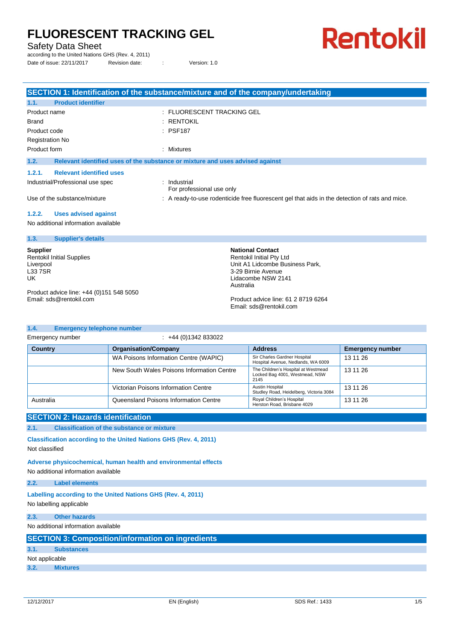Safety Data Sheet

according to the United Nations GHS (Rev. 4, 2011)

Date of issue: 22/11/2017 Revision date: : Version: 1.0

# **Rentokil**

|                                           | SECTION 1: Identification of the substance/mixture and of the company/undertaking              |
|-------------------------------------------|------------------------------------------------------------------------------------------------|
| <b>Product identifier</b><br>1.1.         |                                                                                                |
| Product name                              | : FLUORESCENT TRACKING GEL                                                                     |
| <b>Brand</b>                              | : RENTOKIL                                                                                     |
| Product code                              | : PSF187                                                                                       |
| <b>Registration No</b>                    |                                                                                                |
| Product form                              | : Mixtures                                                                                     |
| 1.2.                                      | Relevant identified uses of the substance or mixture and uses advised against                  |
| <b>Relevant identified uses</b><br>1.2.1. |                                                                                                |
| Industrial/Professional use spec          | : Industrial<br>For professional use only                                                      |
| Use of the substance/mixture              | : A ready-to-use rodenticide free fluorescent gel that aids in the detection of rats and mice. |
| <b>Uses advised against</b><br>1.2.2.     |                                                                                                |
| No additional information available       |                                                                                                |
| 1.3.<br><b>Supplier's details</b>         |                                                                                                |

**Supplier**

Rentokil Initial Supplies Liverpool **L33 7SR** UK

Product advice line: +44 (0)151 548 5050 Email: sds@rentokil.com

**1.4. Emergency telephone number**

**National Contact** Rentokil Initial Pty Ltd Unit A1 Lidcombe Business Park, 3-29 Birnie Avenue Lidacombe NSW 2141 Australia

Product advice line: 61 2 8719 6264 Email: sds@rentokil.com

| Emergency number | $\div$ +44 (0)1342 833022                  |                                                                               |                         |
|------------------|--------------------------------------------|-------------------------------------------------------------------------------|-------------------------|
| <b>Country</b>   | <b>Organisation/Company</b>                | <b>Address</b>                                                                | <b>Emergency number</b> |
|                  | WA Poisons Information Centre (WAPIC)      | Sir Charles Gardner Hospital<br>Hospital Avenue, Nedlands, WA 6009            | 13 11 26                |
|                  | New South Wales Poisons Information Centre | The Children's Hospital at Westmead<br>Locked Bag 4001, Westmead, NSW<br>2145 | 13 11 26                |
|                  | Victorian Poisons Information Centre       | Austin Hospital<br>Studley Road, Heidelberg, Victoria 3084                    | 13 11 26                |
| Australia        | Queensland Poisons Information Centre      | Royal Children's Hospital<br>Herston Road, Brisbane 4029                      | 13 11 26                |

### **SECTION 2: Hazards identification**

**2.1. Classification of the substance or mixture**

**Classification according to the United Nations GHS (Rev. 4, 2011)** Not classified

**Adverse physicochemical, human health and environmental effects**

No additional information available

**2.2. Label elements**

**Labelling according to the United Nations GHS (Rev. 4, 2011)** No labelling applicable

**2.3. Other hazards**

No additional information available

| <b>SECTION 3: Composition/information on ingredients</b> |
|----------------------------------------------------------|
|----------------------------------------------------------|

| 3.1.           | <b>Substances</b> |  |
|----------------|-------------------|--|
| Not applicable |                   |  |

**3.2. Mixtures**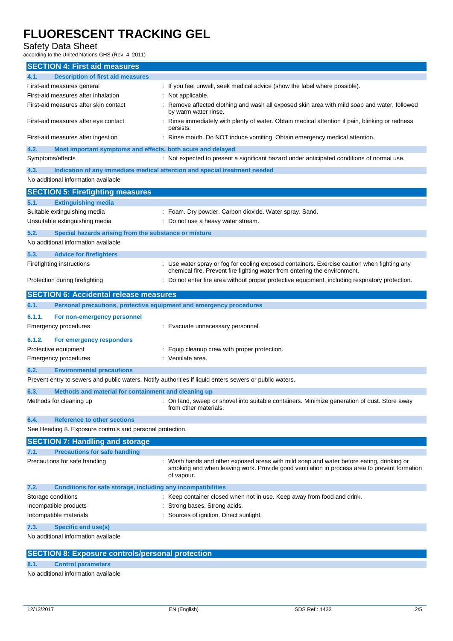### Safety Data Sheet

according to the United Nations GHS (Rev. 4, 2011)

| <b>SECTION 4: First aid measures</b>                                                                    |                                                                                                                                                                                                      |  |  |
|---------------------------------------------------------------------------------------------------------|------------------------------------------------------------------------------------------------------------------------------------------------------------------------------------------------------|--|--|
| <b>Description of first aid measures</b><br>4.1.                                                        |                                                                                                                                                                                                      |  |  |
| First-aid measures general                                                                              | : If you feel unwell, seek medical advice (show the label where possible).                                                                                                                           |  |  |
| First-aid measures after inhalation                                                                     | Not applicable.                                                                                                                                                                                      |  |  |
| First-aid measures after skin contact                                                                   | Remove affected clothing and wash all exposed skin area with mild soap and water, followed<br>by warm water rinse.                                                                                   |  |  |
| First-aid measures after eye contact                                                                    | Rinse immediately with plenty of water. Obtain medical attention if pain, blinking or redness<br>persists.                                                                                           |  |  |
| First-aid measures after ingestion                                                                      | Rinse mouth. Do NOT induce vomiting. Obtain emergency medical attention.                                                                                                                             |  |  |
| 4.2.<br>Most important symptoms and effects, both acute and delayed                                     |                                                                                                                                                                                                      |  |  |
| Symptoms/effects                                                                                        | : Not expected to present a significant hazard under anticipated conditions of normal use.                                                                                                           |  |  |
| 4.3.                                                                                                    | Indication of any immediate medical attention and special treatment needed                                                                                                                           |  |  |
| No additional information available                                                                     |                                                                                                                                                                                                      |  |  |
| <b>SECTION 5: Firefighting measures</b>                                                                 |                                                                                                                                                                                                      |  |  |
| <b>Extinguishing media</b><br>5.1.                                                                      |                                                                                                                                                                                                      |  |  |
| Suitable extinguishing media                                                                            | : Foam. Dry powder. Carbon dioxide. Water spray. Sand.                                                                                                                                               |  |  |
| Unsuitable extinguishing media                                                                          | Do not use a heavy water stream.                                                                                                                                                                     |  |  |
| 5.2.<br>Special hazards arising from the substance or mixture                                           |                                                                                                                                                                                                      |  |  |
| No additional information available                                                                     |                                                                                                                                                                                                      |  |  |
| 5.3.<br><b>Advice for firefighters</b>                                                                  |                                                                                                                                                                                                      |  |  |
| Firefighting instructions                                                                               | : Use water spray or fog for cooling exposed containers. Exercise caution when fighting any                                                                                                          |  |  |
|                                                                                                         | chemical fire. Prevent fire fighting water from entering the environment.                                                                                                                            |  |  |
| Protection during firefighting                                                                          | Do not enter fire area without proper protective equipment, including respiratory protection.                                                                                                        |  |  |
| <b>SECTION 6: Accidental release measures</b>                                                           |                                                                                                                                                                                                      |  |  |
| Personal precautions, protective equipment and emergency procedures<br>6.1.                             |                                                                                                                                                                                                      |  |  |
| 6.1.1.<br>For non-emergency personnel                                                                   |                                                                                                                                                                                                      |  |  |
| Emergency procedures                                                                                    | : Evacuate unnecessary personnel.                                                                                                                                                                    |  |  |
| 6.1.2.<br>For emergency responders                                                                      |                                                                                                                                                                                                      |  |  |
| Protective equipment                                                                                    | Equip cleanup crew with proper protection.                                                                                                                                                           |  |  |
| Emergency procedures                                                                                    | : Ventilate area.                                                                                                                                                                                    |  |  |
| 6.2.<br><b>Environmental precautions</b>                                                                |                                                                                                                                                                                                      |  |  |
| Prevent entry to sewers and public waters. Notify authorities if liquid enters sewers or public waters. |                                                                                                                                                                                                      |  |  |
| 6.3.<br>Methods and material for containment and cleaning up                                            |                                                                                                                                                                                                      |  |  |
| Methods for cleaning up                                                                                 | : On land, sweep or shovel into suitable containers. Minimize generation of dust. Store away<br>from other materials.                                                                                |  |  |
| 6.4.<br><b>Reference to other sections</b>                                                              |                                                                                                                                                                                                      |  |  |
| See Heading 8. Exposure controls and personal protection.                                               |                                                                                                                                                                                                      |  |  |
| <b>SECTION 7: Handling and storage</b>                                                                  |                                                                                                                                                                                                      |  |  |
| <b>Precautions for safe handling</b><br>7.1.                                                            |                                                                                                                                                                                                      |  |  |
| Precautions for safe handling                                                                           | Wash hands and other exposed areas with mild soap and water before eating, drinking or<br>smoking and when leaving work. Provide good ventilation in process area to prevent formation<br>of vapour. |  |  |
| 7.2.<br>Conditions for safe storage, including any incompatibilities                                    |                                                                                                                                                                                                      |  |  |
| Storage conditions                                                                                      | : Keep container closed when not in use. Keep away from food and drink.                                                                                                                              |  |  |
| Incompatible products                                                                                   | Strong bases. Strong acids.                                                                                                                                                                          |  |  |
| Incompatible materials                                                                                  | Sources of ignition. Direct sunlight.                                                                                                                                                                |  |  |
| 7.3.<br><b>Specific end use(s)</b>                                                                      |                                                                                                                                                                                                      |  |  |
| No additional information available                                                                     |                                                                                                                                                                                                      |  |  |
| <b>SECTION 8: Exposure controls/personal protection</b>                                                 |                                                                                                                                                                                                      |  |  |
|                                                                                                         |                                                                                                                                                                                                      |  |  |

**8.1. Control parameters**

No additional information available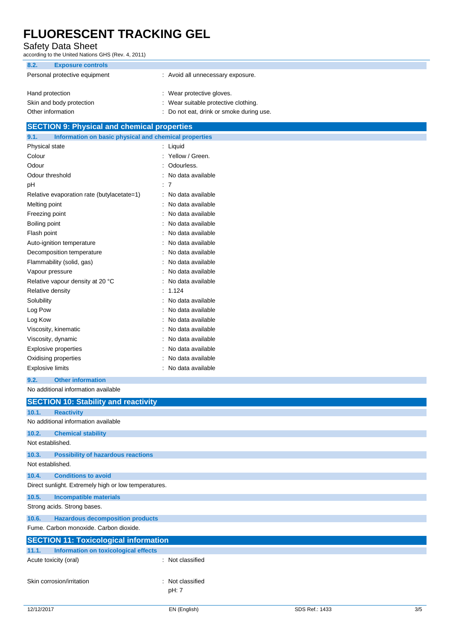### Safety Data Sheet

according to the United Nations GHS (Rev. 4, 2011)

| 8.2.<br><b>Exposure controls</b> |                                          |
|----------------------------------|------------------------------------------|
| Personal protective equipment    | : Avoid all unnecessary exposure.        |
| Hand protection                  | : Wear protective gloves.                |
| Skin and body protection         | : Wear suitable protective clothing.     |
| Other information                | : Do not eat, drink or smoke during use. |

### **SECTION 9: Physical and chemical properties**

| 9.1.<br>Information on basic physical and chemical properties |   |                   |
|---------------------------------------------------------------|---|-------------------|
| Physical state                                                | ÷ | Liquid            |
| Colour                                                        |   | Yellow / Green.   |
| Odour                                                         |   | Odourless.        |
| Odour threshold                                               |   | No data available |
| рH                                                            |   | 7                 |
| Relative evaporation rate (butylacetate=1)                    |   | No data available |
| Melting point                                                 |   | No data available |
| Freezing point                                                |   | No data available |
| Boiling point                                                 |   | No data available |
| Flash point                                                   |   | No data available |
| Auto-ignition temperature                                     |   | No data available |
| Decomposition temperature                                     |   | No data available |
| Flammability (solid, gas)                                     |   | No data available |
| Vapour pressure                                               |   | No data available |
| Relative vapour density at 20 °C                              |   | No data available |
| Relative density                                              |   | 1.124             |
| Solubility                                                    |   | No data available |
| Log Pow                                                       |   | No data available |
| Log Kow                                                       |   | No data available |
| Viscosity, kinematic                                          |   | No data available |
| Viscosity, dynamic                                            |   | No data available |
| <b>Explosive properties</b>                                   |   | No data available |
| Oxidising properties                                          |   | No data available |
| <b>Explosive limits</b>                                       |   | No data available |

**9.2. Other information**

No additional information available

|                                                      | <b>SECTION 10: Stability and reactivity</b> |                                                     |  |
|------------------------------------------------------|---------------------------------------------|-----------------------------------------------------|--|
| 10.1.                                                | <b>Reactivity</b>                           |                                                     |  |
|                                                      | No additional information available         |                                                     |  |
| 10.2.                                                | <b>Chemical stability</b>                   |                                                     |  |
| Not established.                                     |                                             |                                                     |  |
| 10.3.                                                | <b>Possibility of hazardous reactions</b>   |                                                     |  |
| Not established.                                     |                                             |                                                     |  |
| 10.4.                                                | <b>Conditions to avoid</b>                  |                                                     |  |
| Direct sunlight. Extremely high or low temperatures. |                                             |                                                     |  |
| 10.5.                                                | <b>Incompatible materials</b>               |                                                     |  |
| Strong acids. Strong bases.                          |                                             |                                                     |  |
| 10.6.                                                | <b>Hazardous decomposition products</b>     |                                                     |  |
| Fume. Carbon monoxide. Carbon dioxide.               |                                             |                                                     |  |
| <b>SECTION 11: Toxicological information</b>         |                                             |                                                     |  |
| 11.1.                                                | Information on toxicological effects        |                                                     |  |
|                                                      | Acute toxicity (oral)                       | : Not classified                                    |  |
|                                                      | Skin corrosion/irritation                   | Not classified<br>$\overline{\phantom{a}}$<br>pH: 7 |  |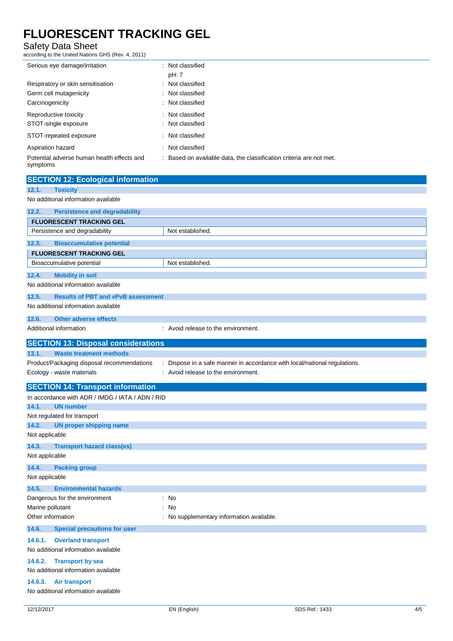### Safety Data Sheet

according to the United Nations GHS (Rev. 4, 2011)

| Serious eye damage/irritation                          | : Not classified                                                    |
|--------------------------------------------------------|---------------------------------------------------------------------|
|                                                        | pH: 7                                                               |
| Respiratory or skin sensitisation                      | : Not classified                                                    |
| Germ cell mutagenicity                                 | : Not classified                                                    |
| Carcinogenicity                                        | : Not classified                                                    |
| Reproductive toxicity                                  | : Not classified                                                    |
| STOT-single exposure                                   | : Not classified                                                    |
| STOT-repeated exposure                                 | : Not classified                                                    |
| Aspiration hazard                                      | : Not classified                                                    |
| Potential adverse human health effects and<br>symptoms | : Based on available data, the classification criteria are not met. |

| <b>SECTION 12: Ecological information</b>          |                                                                         |
|----------------------------------------------------|-------------------------------------------------------------------------|
| 12.1.<br><b>Toxicity</b>                           |                                                                         |
| No additional information available                |                                                                         |
| 12.2.<br><b>Persistence and degradability</b>      |                                                                         |
| <b>FLUORESCENT TRACKING GEL</b>                    |                                                                         |
| Persistence and degradability                      | Not established.                                                        |
| 12.3.<br><b>Bioaccumulative potential</b>          |                                                                         |
| <b>FLUORESCENT TRACKING GEL</b>                    |                                                                         |
| Bioaccumulative potential                          | Not established.                                                        |
| 12.4.<br><b>Mobility in soil</b>                   |                                                                         |
| No additional information available                |                                                                         |
| 12.5.<br><b>Results of PBT and vPvB assessment</b> |                                                                         |
| No additional information available                |                                                                         |
| 12.6.<br><b>Other adverse effects</b>              |                                                                         |
| Additional information                             | : Avoid release to the environment.                                     |
| <b>SECTION 13: Disposal considerations</b>         |                                                                         |
| 13.1.<br><b>Waste treatment methods</b>            |                                                                         |
| Product/Packaging disposal recommendations         | Dispose in a safe manner in accordance with local/national regulations. |
| Ecology - waste materials                          | Avoid release to the environment.                                       |
| <b>SECTION 14: Transport information</b>           |                                                                         |
| In accordance with ADR / IMDG / IATA / ADN / RID   |                                                                         |
| 14.1.<br><b>UN number</b>                          |                                                                         |
| Not regulated for transport                        |                                                                         |
| 14.2.<br><b>UN proper shipping name</b>            |                                                                         |
| Not applicable                                     |                                                                         |
| 14.3.<br><b>Transport hazard class(es)</b>         |                                                                         |
| Not applicable                                     |                                                                         |
| 14.4.<br><b>Packing group</b>                      |                                                                         |
| Not applicable                                     |                                                                         |
| 14.5.<br><b>Environmental hazards</b>              |                                                                         |
| Dangerous for the environment                      | : No                                                                    |
| Marine pollutant                                   | : No                                                                    |
| Other information                                  |                                                                         |
|                                                    | No supplementary information available                                  |
| 14.6.<br><b>Special precautions for user</b>       |                                                                         |
| 14.6.1.<br><b>Overland transport</b>               |                                                                         |
| No additional information available                |                                                                         |
| <b>Transport by sea</b><br>14.6.2.                 |                                                                         |
| No additional information available                |                                                                         |
| 14.6.3.<br><b>Air transport</b>                    |                                                                         |
| No additional information available                |                                                                         |

÷